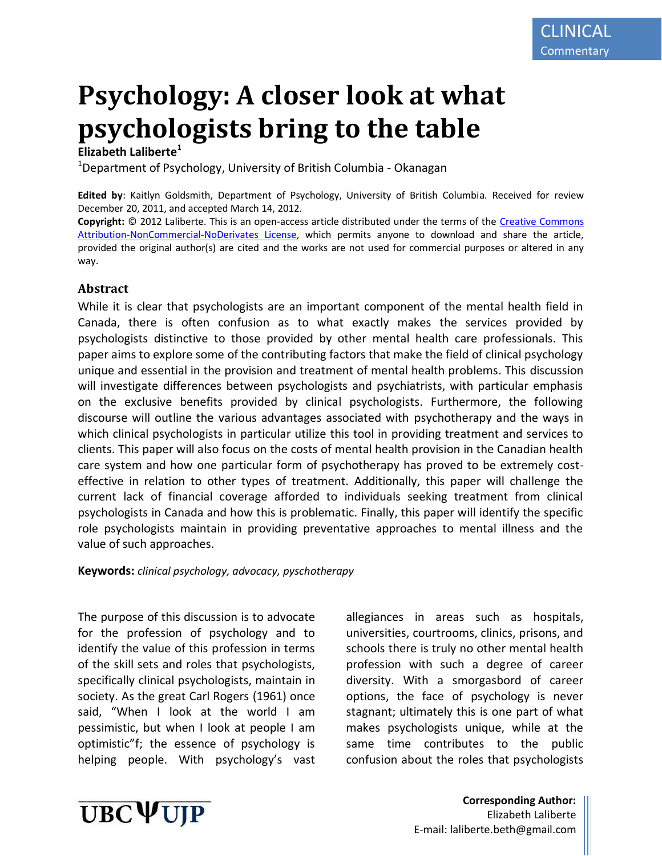# **Psychology: A closer look at what psychologists bring to the table**

## **Elizabeth Laliberte<sup>1</sup>**

<sup>1</sup>Department of Psychology, University of British Columbia - Okanagan

**Edited by**: Kaitlyn Goldsmith, Department of Psychology, University of British Columbia. Received for review December 20, 2011, and accepted March 14, 2012.

**Copyright:** © 2012 Laliberte. This is an open-access article distributed under the terms of the [Creative Commons](http://creativecommons.org/licenses/by-nc-nd/3.0/legalcode)  [Attribution-NonCommercial-NoDerivates License,](http://creativecommons.org/licenses/by-nc-nd/3.0/legalcode) which permits anyone to download and share the article, provided the original author(s) are cited and the works are not used for commercial purposes or altered in any way.

## **Abstract**

While it is clear that psychologists are an important component of the mental health field in Canada, there is often confusion as to what exactly makes the services provided by psychologists distinctive to those provided by other mental health care professionals. This paper aims to explore some of the contributing factors that make the field of clinical psychology unique and essential in the provision and treatment of mental health problems. This discussion will investigate differences between psychologists and psychiatrists, with particular emphasis on the exclusive benefits provided by clinical psychologists. Furthermore, the following discourse will outline the various advantages associated with psychotherapy and the ways in which clinical psychologists in particular utilize this tool in providing treatment and services to clients. This paper will also focus on the costs of mental health provision in the Canadian health care system and how one particular form of psychotherapy has proved to be extremely costeffective in relation to other types of treatment. Additionally, this paper will challenge the current lack of financial coverage afforded to individuals seeking treatment from clinical psychologists in Canada and how this is problematic. Finally, this paper will identify the specific role psychologists maintain in providing preventative approaches to mental illness and the value of such approaches.

**Keywords:** *clinical psychology, advocacy, pyschotherapy*

The purpose of this discussion is to advocate for the profession of psychology and to identify the value of this profession in terms of the skill sets and roles that psychologists, specifically clinical psychologists, maintain in society. As the great Carl Rogers (1961) once said, "When I look at the world I am pessimistic, but when I look at people I am optimistic"f; the essence of psychology is helping people. With psychology's vast

allegiances in areas such as hospitals, universities, courtrooms, clinics, prisons, and schools there is truly no other mental health profession with such a degree of career diversity. With a smorgasbord of career options, the face of psychology is never stagnant; ultimately this is one part of what makes psychologists unique, while at the same time contributes to the public confusion about the roles that psychologists



**Corresponding Author:** Elizabeth Laliberte E-mail: laliberte.beth@gmail.com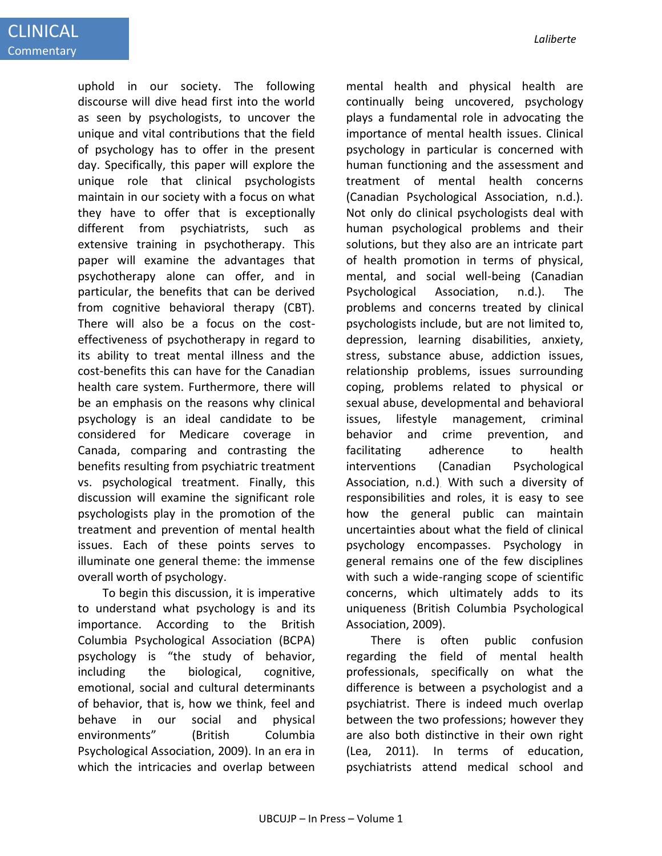uphold in our society. The following discourse will dive head first into the world as seen by psychologists, to uncover the unique and vital contributions that the field of psychology has to offer in the present day. Specifically, this paper will explore the unique role that clinical psychologists maintain in our society with a focus on what they have to offer that is exceptionally different from psychiatrists, such as extensive training in psychotherapy. This paper will examine the advantages that psychotherapy alone can offer, and in particular, the benefits that can be derived from cognitive behavioral therapy (CBT). There will also be a focus on the costeffectiveness of psychotherapy in regard to its ability to treat mental illness and the cost-benefits this can have for the Canadian health care system. Furthermore, there will be an emphasis on the reasons why clinical psychology is an ideal candidate to be considered for Medicare coverage in Canada, comparing and contrasting the benefits resulting from psychiatric treatment vs. psychological treatment. Finally, this discussion will examine the significant role psychologists play in the promotion of the treatment and prevention of mental health issues. Each of these points serves to illuminate one general theme: the immense overall worth of psychology.

To begin this discussion, it is imperative to understand what psychology is and its importance. According to the British Columbia Psychological Association (BCPA) psychology is "the study of behavior, including the biological, cognitive, emotional, social and cultural determinants of behavior, that is, how we think, feel and behave in our social and physical environments" (British Columbia Psychological Association, 2009). In an era in which the intricacies and overlap between mental health and physical health are continually being uncovered, psychology plays a fundamental role in advocating the importance of mental health issues. Clinical psychology in particular is concerned with human functioning and the assessment and treatment of mental health concerns (Canadian Psychological Association, n.d.). Not only do clinical psychologists deal with human psychological problems and their solutions, but they also are an intricate part of health promotion in terms of physical, mental, and social well-being (Canadian Psychological Association, n.d.). The problems and concerns treated by clinical psychologists include, but are not limited to, depression, learning disabilities, anxiety, stress, substance abuse, addiction issues, relationship problems, issues surrounding coping, problems related to physical or sexual abuse, developmental and behavioral issues, lifestyle management, criminal behavior and crime prevention, and facilitating adherence to health interventions (Canadian Psychological Association, n.d.). With such a diversity of responsibilities and roles, it is easy to see how the general public can maintain uncertainties about what the field of clinical psychology encompasses. Psychology in general remains one of the few disciplines with such a wide-ranging scope of scientific concerns, which ultimately adds to its uniqueness (British Columbia Psychological Association, 2009).

There is often public confusion regarding the field of mental health professionals, specifically on what the difference is between a psychologist and a psychiatrist. There is indeed much overlap between the two professions; however they are also both distinctive in their own right (Lea, 2011). In terms of education, psychiatrists attend medical school and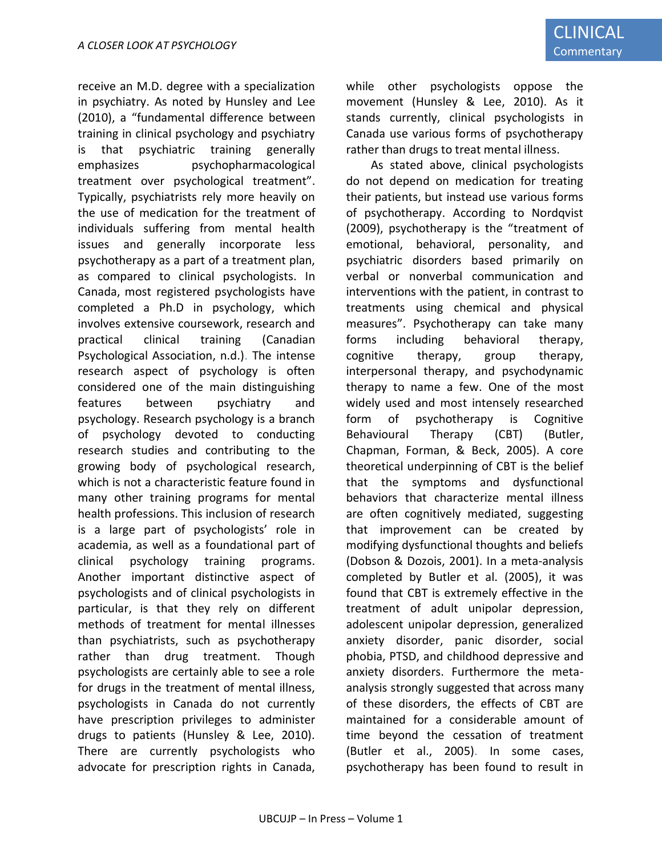receive an M.D. degree with a specialization in psychiatry. As noted by Hunsley and Lee (2010), a "fundamental difference between training in clinical psychology and psychiatry is that psychiatric training generally emphasizes psychopharmacological treatment over psychological treatment". Typically, psychiatrists rely more heavily on the use of medication for the treatment of individuals suffering from mental health issues and generally incorporate less psychotherapy as a part of a treatment plan, as compared to clinical psychologists. In Canada, most registered psychologists have completed a Ph.D in psychology, which involves extensive coursework, research and practical clinical training (Canadian Psychological Association, n.d.). The intense research aspect of psychology is often considered one of the main distinguishing features between psychiatry and psychology. Research psychology is a branch of psychology devoted to conducting research studies and contributing to the growing body of psychological research, which is not a characteristic feature found in many other training programs for mental health professions. This inclusion of research is a large part of psychologists' role in academia, as well as a foundational part of clinical psychology training programs. Another important distinctive aspect of psychologists and of clinical psychologists in particular, is that they rely on different methods of treatment for mental illnesses than psychiatrists, such as psychotherapy rather than drug treatment. Though psychologists are certainly able to see a role for drugs in the treatment of mental illness, psychologists in Canada do not currently have prescription privileges to administer drugs to patients (Hunsley & Lee, 2010). There are currently psychologists who advocate for prescription rights in Canada,

while other psychologists oppose the movement (Hunsley & Lee, 2010). As it stands currently, clinical psychologists in Canada use various forms of psychotherapy rather than drugs to treat mental illness.

As stated above, clinical psychologists do not depend on medication for treating their patients, but instead use various forms of psychotherapy. According to Nordqvist (2009), psychotherapy is the "treatment of emotional, behavioral, personality, and psychiatric disorders based primarily on verbal or nonverbal communication and interventions with the patient, in contrast to treatments using chemical and physical measures". Psychotherapy can take many forms including behavioral therapy, cognitive therapy, group therapy, interpersonal therapy, and psychodynamic therapy to name a few. One of the most widely used and most intensely researched form of psychotherapy is Cognitive Behavioural Therapy (CBT) (Butler, Chapman, Forman, & Beck, 2005). A core theoretical underpinning of CBT is the belief that the symptoms and dysfunctional behaviors that characterize mental illness are often cognitively mediated, suggesting that improvement can be created by modifying dysfunctional thoughts and beliefs (Dobson & Dozois, 2001). In a meta-analysis completed by Butler et al. (2005), it was found that CBT is extremely effective in the treatment of adult unipolar depression, adolescent unipolar depression, generalized anxiety disorder, panic disorder, social phobia, PTSD, and childhood depressive and anxiety disorders. Furthermore the metaanalysis strongly suggested that across many of these disorders, the effects of CBT are maintained for a considerable amount of time beyond the cessation of treatment (Butler et al., 2005). In some cases, psychotherapy has been found to result in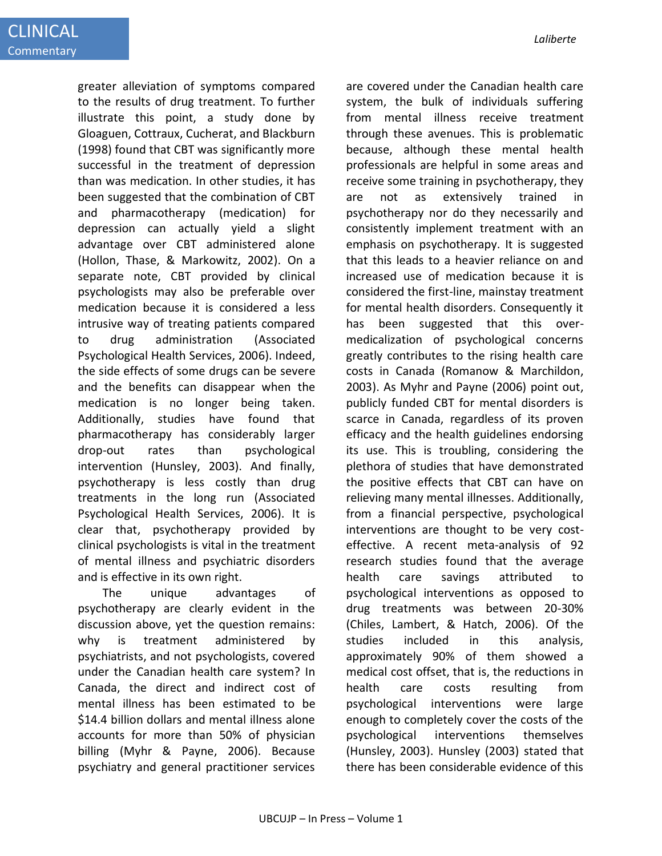greater alleviation of symptoms compared to the results of drug treatment. To further illustrate this point, a study done by Gloaguen, Cottraux, Cucherat, and Blackburn (1998) found that CBT was significantly more successful in the treatment of depression than was medication. In other studies, it has been suggested that the combination of CBT and pharmacotherapy (medication) for depression can actually yield a slight advantage over CBT administered alone (Hollon, Thase, & Markowitz, 2002). On a separate note, CBT provided by clinical psychologists may also be preferable over medication because it is considered a less intrusive way of treating patients compared to drug administration (Associated Psychological Health Services, 2006). Indeed, the side effects of some drugs can be severe and the benefits can disappear when the medication is no longer being taken. Additionally, studies have found that pharmacotherapy has considerably larger drop-out rates than psychological intervention (Hunsley, 2003). And finally, psychotherapy is less costly than drug treatments in the long run (Associated Psychological Health Services, 2006). It is clear that, psychotherapy provided by clinical psychologists is vital in the treatment of mental illness and psychiatric disorders and is effective in its own right.

The unique advantages of psychotherapy are clearly evident in the discussion above, yet the question remains: why is treatment administered by psychiatrists, and not psychologists, covered under the Canadian health care system? In Canada, the direct and indirect cost of mental illness has been estimated to be \$14.4 billion dollars and mental illness alone accounts for more than 50% of physician billing (Myhr & Payne, 2006). Because psychiatry and general practitioner services

are covered under the Canadian health care system, the bulk of individuals suffering from mental illness receive treatment through these avenues. This is problematic because, although these mental health professionals are helpful in some areas and receive some training in psychotherapy, they are not as extensively trained psychotherapy nor do they necessarily and consistently implement treatment with an emphasis on psychotherapy. It is suggested that this leads to a heavier reliance on and increased use of medication because it is considered the first-line, mainstay treatment for mental health disorders. Consequently it has been suggested that this overmedicalization of psychological concerns greatly contributes to the rising health care costs in Canada (Romanow & Marchildon, 2003). As Myhr and Payne (2006) point out, publicly funded CBT for mental disorders is scarce in Canada, regardless of its proven efficacy and the health guidelines endorsing its use. This is troubling, considering the plethora of studies that have demonstrated the positive effects that CBT can have on relieving many mental illnesses. Additionally, from a financial perspective, psychological interventions are thought to be very costeffective. A recent meta-analysis of 92 research studies found that the average health care savings attributed to psychological interventions as opposed to drug treatments was between 20-30% (Chiles, Lambert, & Hatch, 2006). Of the studies included in this analysis, approximately 90% of them showed a medical cost offset, that is, the reductions in health care costs resulting from psychological interventions were large enough to completely cover the costs of the psychological interventions themselves (Hunsley, 2003). Hunsley (2003) stated that there has been considerable evidence of this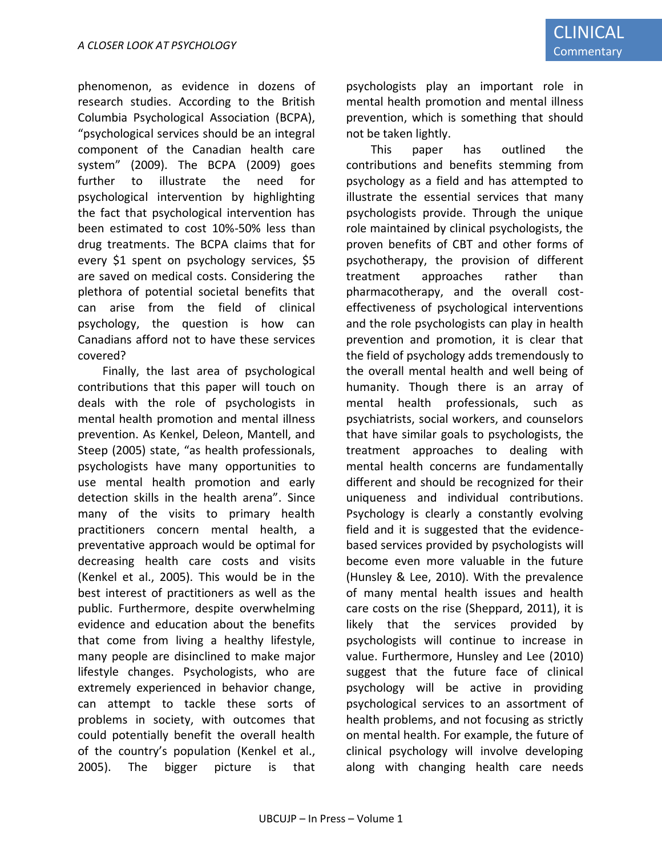phenomenon, as evidence in dozens of research studies. According to the British Columbia Psychological Association (BCPA), "psychological services should be an integral component of the Canadian health care system" (2009). The BCPA (2009) goes further to illustrate the need for psychological intervention by highlighting the fact that psychological intervention has been estimated to cost 10%-50% less than drug treatments. The BCPA claims that for every \$1 spent on psychology services, \$5 are saved on medical costs. Considering the plethora of potential societal benefits that can arise from the field of clinical psychology, the question is how can Canadians afford not to have these services covered?

Finally, the last area of psychological contributions that this paper will touch on deals with the role of psychologists in mental health promotion and mental illness prevention. As Kenkel, Deleon, Mantell, and Steep (2005) state, "as health professionals, psychologists have many opportunities to use mental health promotion and early detection skills in the health arena". Since many of the visits to primary health practitioners concern mental health, a preventative approach would be optimal for decreasing health care costs and visits (Kenkel et al., 2005). This would be in the best interest of practitioners as well as the public. Furthermore, despite overwhelming evidence and education about the benefits that come from living a healthy lifestyle, many people are disinclined to make major lifestyle changes. Psychologists, who are extremely experienced in behavior change, can attempt to tackle these sorts of problems in society, with outcomes that could potentially benefit the overall health of the country's population (Kenkel et al., 2005). The bigger picture is that psychologists play an important role in mental health promotion and mental illness prevention, which is something that should not be taken lightly.

This paper has outlined the contributions and benefits stemming from psychology as a field and has attempted to illustrate the essential services that many psychologists provide. Through the unique role maintained by clinical psychologists, the proven benefits of CBT and other forms of psychotherapy, the provision of different treatment approaches rather than pharmacotherapy, and the overall costeffectiveness of psychological interventions and the role psychologists can play in health prevention and promotion, it is clear that the field of psychology adds tremendously to the overall mental health and well being of humanity. Though there is an array of mental health professionals, such as psychiatrists, social workers, and counselors that have similar goals to psychologists, the treatment approaches to dealing with mental health concerns are fundamentally different and should be recognized for their uniqueness and individual contributions. Psychology is clearly a constantly evolving field and it is suggested that the evidencebased services provided by psychologists will become even more valuable in the future (Hunsley & Lee, 2010). With the prevalence of many mental health issues and health care costs on the rise (Sheppard, 2011), it is likely that the services provided by psychologists will continue to increase in value. Furthermore, Hunsley and Lee (2010) suggest that the future face of clinical psychology will be active in providing psychological services to an assortment of health problems, and not focusing as strictly on mental health. For example, the future of clinical psychology will involve developing along with changing health care needs